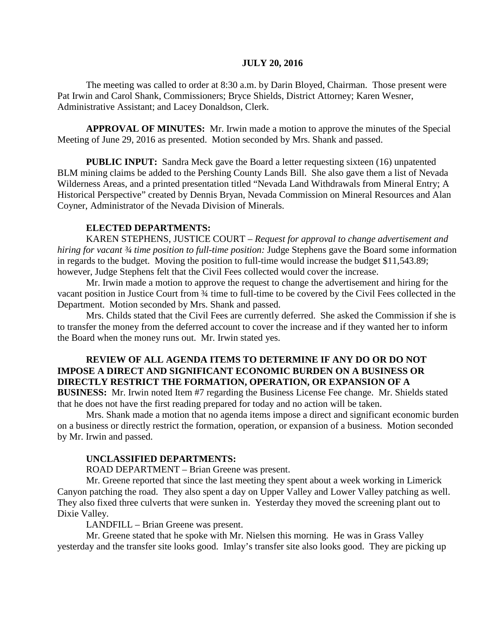#### **JULY 20, 2016**

The meeting was called to order at 8:30 a.m. by Darin Bloyed, Chairman. Those present were Pat Irwin and Carol Shank, Commissioners; Bryce Shields, District Attorney; Karen Wesner, Administrative Assistant; and Lacey Donaldson, Clerk.

**APPROVAL OF MINUTES:** Mr. Irwin made a motion to approve the minutes of the Special Meeting of June 29, 2016 as presented. Motion seconded by Mrs. Shank and passed.

**PUBLIC INPUT:** Sandra Meck gave the Board a letter requesting sixteen (16) unpatented BLM mining claims be added to the Pershing County Lands Bill. She also gave them a list of Nevada Wilderness Areas, and a printed presentation titled "Nevada Land Withdrawals from Mineral Entry; A Historical Perspective" created by Dennis Bryan, Nevada Commission on Mineral Resources and Alan Coyner, Administrator of the Nevada Division of Minerals.

#### **ELECTED DEPARTMENTS:**

KAREN STEPHENS, JUSTICE COURT – *Request for approval to change advertisement and hiring for vacant ¾ time position to full-time position:* Judge Stephens gave the Board some information in regards to the budget. Moving the position to full-time would increase the budget \$11,543.89; however, Judge Stephens felt that the Civil Fees collected would cover the increase.

Mr. Irwin made a motion to approve the request to change the advertisement and hiring for the vacant position in Justice Court from ¾ time to full-time to be covered by the Civil Fees collected in the Department. Motion seconded by Mrs. Shank and passed.

Mrs. Childs stated that the Civil Fees are currently deferred. She asked the Commission if she is to transfer the money from the deferred account to cover the increase and if they wanted her to inform the Board when the money runs out. Mr. Irwin stated yes.

## **REVIEW OF ALL AGENDA ITEMS TO DETERMINE IF ANY DO OR DO NOT IMPOSE A DIRECT AND SIGNIFICANT ECONOMIC BURDEN ON A BUSINESS OR DIRECTLY RESTRICT THE FORMATION, OPERATION, OR EXPANSION OF A**

**BUSINESS:** Mr. Irwin noted Item #7 regarding the Business License Fee change. Mr. Shields stated that he does not have the first reading prepared for today and no action will be taken.

Mrs. Shank made a motion that no agenda items impose a direct and significant economic burden on a business or directly restrict the formation, operation, or expansion of a business. Motion seconded by Mr. Irwin and passed.

#### **UNCLASSIFIED DEPARTMENTS:**

ROAD DEPARTMENT – Brian Greene was present.

Mr. Greene reported that since the last meeting they spent about a week working in Limerick Canyon patching the road. They also spent a day on Upper Valley and Lower Valley patching as well. They also fixed three culverts that were sunken in. Yesterday they moved the screening plant out to Dixie Valley.

LANDFILL – Brian Greene was present.

Mr. Greene stated that he spoke with Mr. Nielsen this morning. He was in Grass Valley yesterday and the transfer site looks good. Imlay's transfer site also looks good. They are picking up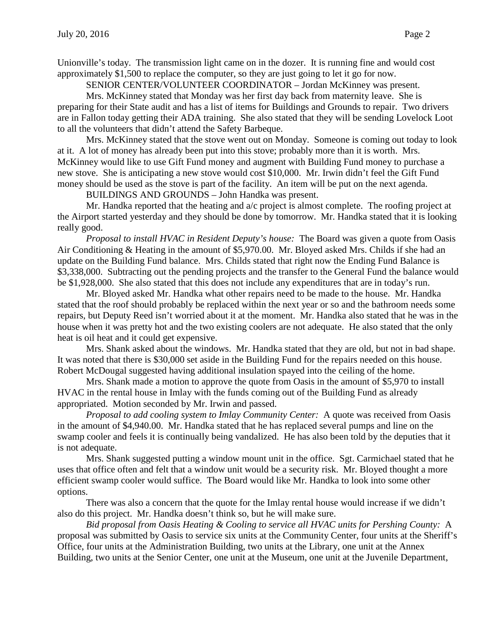Unionville's today. The transmission light came on in the dozer. It is running fine and would cost approximately \$1,500 to replace the computer, so they are just going to let it go for now.

SENIOR CENTER/VOLUNTEER COORDINATOR – Jordan McKinney was present.

Mrs. McKinney stated that Monday was her first day back from maternity leave. She is preparing for their State audit and has a list of items for Buildings and Grounds to repair. Two drivers are in Fallon today getting their ADA training. She also stated that they will be sending Lovelock Loot to all the volunteers that didn't attend the Safety Barbeque.

Mrs. McKinney stated that the stove went out on Monday. Someone is coming out today to look at it. A lot of money has already been put into this stove; probably more than it is worth. Mrs. McKinney would like to use Gift Fund money and augment with Building Fund money to purchase a new stove. She is anticipating a new stove would cost \$10,000. Mr. Irwin didn't feel the Gift Fund money should be used as the stove is part of the facility. An item will be put on the next agenda.

BUILDINGS AND GROUNDS – John Handka was present.

Mr. Handka reported that the heating and a/c project is almost complete. The roofing project at the Airport started yesterday and they should be done by tomorrow. Mr. Handka stated that it is looking really good.

*Proposal to install HVAC in Resident Deputy's house:* The Board was given a quote from Oasis Air Conditioning & Heating in the amount of \$5,970.00. Mr. Bloyed asked Mrs. Childs if she had an update on the Building Fund balance. Mrs. Childs stated that right now the Ending Fund Balance is \$3,338,000. Subtracting out the pending projects and the transfer to the General Fund the balance would be \$1,928,000. She also stated that this does not include any expenditures that are in today's run.

Mr. Bloyed asked Mr. Handka what other repairs need to be made to the house. Mr. Handka stated that the roof should probably be replaced within the next year or so and the bathroom needs some repairs, but Deputy Reed isn't worried about it at the moment. Mr. Handka also stated that he was in the house when it was pretty hot and the two existing coolers are not adequate. He also stated that the only heat is oil heat and it could get expensive.

Mrs. Shank asked about the windows. Mr. Handka stated that they are old, but not in bad shape. It was noted that there is \$30,000 set aside in the Building Fund for the repairs needed on this house. Robert McDougal suggested having additional insulation spayed into the ceiling of the home.

Mrs. Shank made a motion to approve the quote from Oasis in the amount of \$5,970 to install HVAC in the rental house in Imlay with the funds coming out of the Building Fund as already appropriated. Motion seconded by Mr. Irwin and passed.

*Proposal to add cooling system to Imlay Community Center:* A quote was received from Oasis in the amount of \$4,940.00. Mr. Handka stated that he has replaced several pumps and line on the swamp cooler and feels it is continually being vandalized. He has also been told by the deputies that it is not adequate.

Mrs. Shank suggested putting a window mount unit in the office. Sgt. Carmichael stated that he uses that office often and felt that a window unit would be a security risk. Mr. Bloyed thought a more efficient swamp cooler would suffice. The Board would like Mr. Handka to look into some other options.

There was also a concern that the quote for the Imlay rental house would increase if we didn't also do this project. Mr. Handka doesn't think so, but he will make sure.

*Bid proposal from Oasis Heating & Cooling to service all HVAC units for Pershing County:* A proposal was submitted by Oasis to service six units at the Community Center, four units at the Sheriff's Office, four units at the Administration Building, two units at the Library, one unit at the Annex Building, two units at the Senior Center, one unit at the Museum, one unit at the Juvenile Department,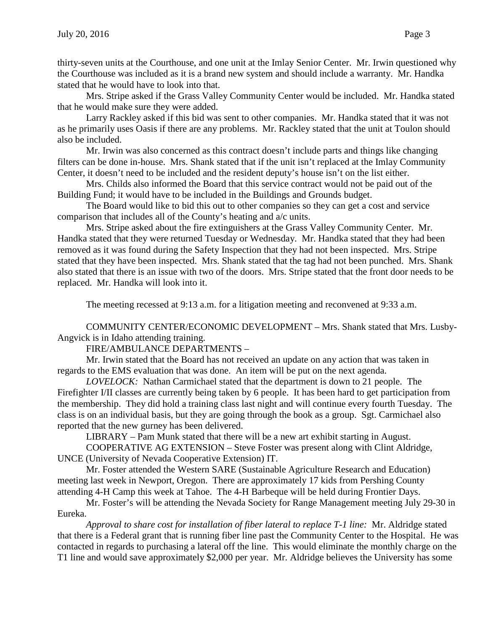thirty-seven units at the Courthouse, and one unit at the Imlay Senior Center. Mr. Irwin questioned why the Courthouse was included as it is a brand new system and should include a warranty. Mr. Handka stated that he would have to look into that.

Mrs. Stripe asked if the Grass Valley Community Center would be included. Mr. Handka stated that he would make sure they were added.

Larry Rackley asked if this bid was sent to other companies. Mr. Handka stated that it was not as he primarily uses Oasis if there are any problems. Mr. Rackley stated that the unit at Toulon should also be included.

Mr. Irwin was also concerned as this contract doesn't include parts and things like changing filters can be done in-house. Mrs. Shank stated that if the unit isn't replaced at the Imlay Community Center, it doesn't need to be included and the resident deputy's house isn't on the list either.

Mrs. Childs also informed the Board that this service contract would not be paid out of the Building Fund; it would have to be included in the Buildings and Grounds budget.

The Board would like to bid this out to other companies so they can get a cost and service comparison that includes all of the County's heating and a/c units.

Mrs. Stripe asked about the fire extinguishers at the Grass Valley Community Center. Mr. Handka stated that they were returned Tuesday or Wednesday. Mr. Handka stated that they had been removed as it was found during the Safety Inspection that they had not been inspected. Mrs. Stripe stated that they have been inspected. Mrs. Shank stated that the tag had not been punched. Mrs. Shank also stated that there is an issue with two of the doors. Mrs. Stripe stated that the front door needs to be replaced. Mr. Handka will look into it.

The meeting recessed at 9:13 a.m. for a litigation meeting and reconvened at 9:33 a.m.

COMMUNITY CENTER/ECONOMIC DEVELOPMENT – Mrs. Shank stated that Mrs. Lusby-Angvick is in Idaho attending training.

FIRE/AMBULANCE DEPARTMENTS –

Mr. Irwin stated that the Board has not received an update on any action that was taken in regards to the EMS evaluation that was done. An item will be put on the next agenda.

*LOVELOCK:* Nathan Carmichael stated that the department is down to 21 people. The Firefighter I/II classes are currently being taken by 6 people. It has been hard to get participation from the membership. They did hold a training class last night and will continue every fourth Tuesday. The class is on an individual basis, but they are going through the book as a group. Sgt. Carmichael also reported that the new gurney has been delivered.

LIBRARY – Pam Munk stated that there will be a new art exhibit starting in August.

COOPERATIVE AG EXTENSION – Steve Foster was present along with Clint Aldridge, UNCE (University of Nevada Cooperative Extension) IT.

Mr. Foster attended the Western SARE (Sustainable Agriculture Research and Education) meeting last week in Newport, Oregon. There are approximately 17 kids from Pershing County attending 4-H Camp this week at Tahoe. The 4-H Barbeque will be held during Frontier Days.

Mr. Foster's will be attending the Nevada Society for Range Management meeting July 29-30 in Eureka.

*Approval to share cost for installation of fiber lateral to replace T-1 line:* Mr. Aldridge stated that there is a Federal grant that is running fiber line past the Community Center to the Hospital. He was contacted in regards to purchasing a lateral off the line. This would eliminate the monthly charge on the T1 line and would save approximately \$2,000 per year. Mr. Aldridge believes the University has some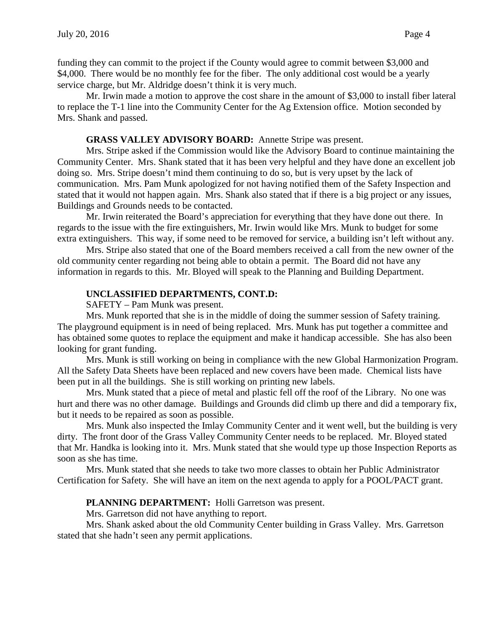funding they can commit to the project if the County would agree to commit between \$3,000 and \$4,000. There would be no monthly fee for the fiber. The only additional cost would be a yearly service charge, but Mr. Aldridge doesn't think it is very much.

Mr. Irwin made a motion to approve the cost share in the amount of \$3,000 to install fiber lateral to replace the T-1 line into the Community Center for the Ag Extension office. Motion seconded by Mrs. Shank and passed.

### **GRASS VALLEY ADVISORY BOARD:** Annette Stripe was present.

Mrs. Stripe asked if the Commission would like the Advisory Board to continue maintaining the Community Center. Mrs. Shank stated that it has been very helpful and they have done an excellent job doing so. Mrs. Stripe doesn't mind them continuing to do so, but is very upset by the lack of communication. Mrs. Pam Munk apologized for not having notified them of the Safety Inspection and stated that it would not happen again. Mrs. Shank also stated that if there is a big project or any issues, Buildings and Grounds needs to be contacted.

Mr. Irwin reiterated the Board's appreciation for everything that they have done out there. In regards to the issue with the fire extinguishers, Mr. Irwin would like Mrs. Munk to budget for some extra extinguishers. This way, if some need to be removed for service, a building isn't left without any.

Mrs. Stripe also stated that one of the Board members received a call from the new owner of the old community center regarding not being able to obtain a permit. The Board did not have any information in regards to this. Mr. Bloyed will speak to the Planning and Building Department.

# **UNCLASSIFIED DEPARTMENTS, CONT.D:**

SAFETY – Pam Munk was present.

Mrs. Munk reported that she is in the middle of doing the summer session of Safety training. The playground equipment is in need of being replaced. Mrs. Munk has put together a committee and has obtained some quotes to replace the equipment and make it handicap accessible. She has also been looking for grant funding.

Mrs. Munk is still working on being in compliance with the new Global Harmonization Program. All the Safety Data Sheets have been replaced and new covers have been made. Chemical lists have been put in all the buildings. She is still working on printing new labels.

Mrs. Munk stated that a piece of metal and plastic fell off the roof of the Library. No one was hurt and there was no other damage. Buildings and Grounds did climb up there and did a temporary fix, but it needs to be repaired as soon as possible.

Mrs. Munk also inspected the Imlay Community Center and it went well, but the building is very dirty. The front door of the Grass Valley Community Center needs to be replaced. Mr. Bloyed stated that Mr. Handka is looking into it. Mrs. Munk stated that she would type up those Inspection Reports as soon as she has time.

Mrs. Munk stated that she needs to take two more classes to obtain her Public Administrator Certification for Safety. She will have an item on the next agenda to apply for a POOL/PACT grant.

### PLANNING DEPARTMENT: Holli Garretson was present.

Mrs. Garretson did not have anything to report.

Mrs. Shank asked about the old Community Center building in Grass Valley. Mrs. Garretson stated that she hadn't seen any permit applications.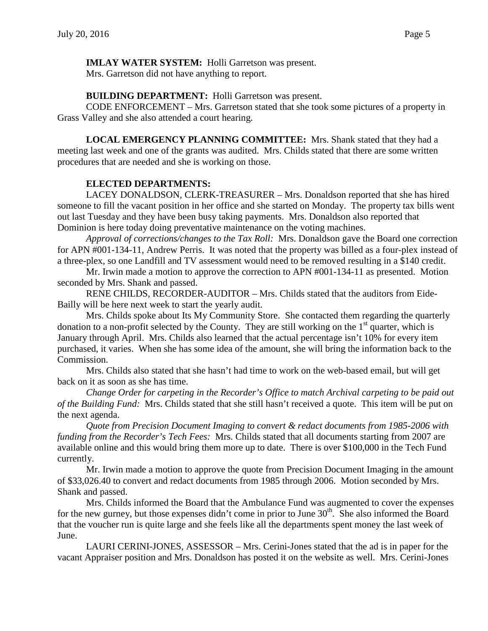**IMLAY WATER SYSTEM:** Holli Garretson was present.

Mrs. Garretson did not have anything to report.

**BUILDING DEPARTMENT:** Holli Garretson was present.

CODE ENFORCEMENT – Mrs. Garretson stated that she took some pictures of a property in Grass Valley and she also attended a court hearing.

**LOCAL EMERGENCY PLANNING COMMITTEE:** Mrs. Shank stated that they had a meeting last week and one of the grants was audited. Mrs. Childs stated that there are some written procedures that are needed and she is working on those.

# **ELECTED DEPARTMENTS:**

LACEY DONALDSON, CLERK-TREASURER – Mrs. Donaldson reported that she has hired someone to fill the vacant position in her office and she started on Monday. The property tax bills went out last Tuesday and they have been busy taking payments. Mrs. Donaldson also reported that Dominion is here today doing preventative maintenance on the voting machines.

*Approval of corrections/changes to the Tax Roll:* Mrs. Donaldson gave the Board one correction for APN #001-134-11, Andrew Perris. It was noted that the property was billed as a four-plex instead of a three-plex, so one Landfill and TV assessment would need to be removed resulting in a \$140 credit.

Mr. Irwin made a motion to approve the correction to APN #001-134-11 as presented. Motion seconded by Mrs. Shank and passed.

RENE CHILDS, RECORDER-AUDITOR – Mrs. Childs stated that the auditors from Eide-Bailly will be here next week to start the yearly audit.

Mrs. Childs spoke about Its My Community Store. She contacted them regarding the quarterly donation to a non-profit selected by the County. They are still working on the  $1<sup>st</sup>$  quarter, which is January through April. Mrs. Childs also learned that the actual percentage isn't 10% for every item purchased, it varies. When she has some idea of the amount, she will bring the information back to the Commission.

Mrs. Childs also stated that she hasn't had time to work on the web-based email, but will get back on it as soon as she has time.

*Change Order for carpeting in the Recorder's Office to match Archival carpeting to be paid out of the Building Fund:* Mrs. Childs stated that she still hasn't received a quote. This item will be put on the next agenda.

*Quote from Precision Document Imaging to convert & redact documents from 1985-2006 with funding from the Recorder's Tech Fees:* Mrs. Childs stated that all documents starting from 2007 are available online and this would bring them more up to date. There is over \$100,000 in the Tech Fund currently.

Mr. Irwin made a motion to approve the quote from Precision Document Imaging in the amount of \$33,026.40 to convert and redact documents from 1985 through 2006. Motion seconded by Mrs. Shank and passed.

Mrs. Childs informed the Board that the Ambulance Fund was augmented to cover the expenses for the new gurney, but those expenses didn't come in prior to June  $30<sup>th</sup>$ . She also informed the Board that the voucher run is quite large and she feels like all the departments spent money the last week of June.

LAURI CERINI-JONES, ASSESSOR – Mrs. Cerini-Jones stated that the ad is in paper for the vacant Appraiser position and Mrs. Donaldson has posted it on the website as well. Mrs. Cerini-Jones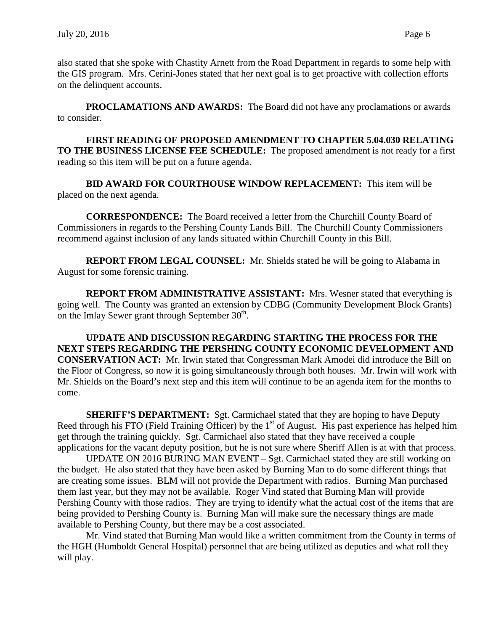also stated that she spoke with Chastity Arnett from the Road Department in regards to some help with the GIS program. Mrs. Cerini-Jones stated that her next goal is to get proactive with collection efforts on the delinquent accounts.

**PROCLAMATIONS AND AWARDS:** The Board did not have any proclamations or awards to consider.

**FIRST READING OF PROPOSED AMENDMENT TO CHAPTER 5.04.030 RELATING TO THE BUSINESS LICENSE FEE SCHEDULE:** The proposed amendment is not ready for a first reading so this item will be put on a future agenda.

**BID AWARD FOR COURTHOUSE WINDOW REPLACEMENT:** This item will be placed on the next agenda.

**CORRESPONDENCE:** The Board received a letter from the Churchill County Board of Commissioners in regards to the Pershing County Lands Bill. The Churchill County Commissioners recommend against inclusion of any lands situated within Churchill County in this Bill.

**REPORT FROM LEGAL COUNSEL:** Mr. Shields stated he will be going to Alabama in August for some forensic training.

**REPORT FROM ADMINISTRATIVE ASSISTANT:** Mrs. Wesner stated that everything is going well. The County was granted an extension by CDBG (Community Development Block Grants) on the Imlay Sewer grant through September 30<sup>th</sup>.

**UPDATE AND DISCUSSION REGARDING STARTING THE PROCESS FOR THE NEXT STEPS REGARDING THE PERSHING COUNTY ECONOMIC DEVELOPMENT AND CONSERVATION ACT:** Mr. Irwin stated that Congressman Mark Amodei did introduce the Bill on the Floor of Congress, so now it is going simultaneously through both houses. Mr. Irwin will work with Mr. Shields on the Board's next step and this item will continue to be an agenda item for the months to come.

**SHERIFF'S DEPARTMENT:** Sgt. Carmichael stated that they are hoping to have Deputy Reed through his FTO (Field Training Officer) by the  $1<sup>st</sup>$  of August. His past experience has helped him get through the training quickly. Sgt. Carmichael also stated that they have received a couple applications for the vacant deputy position, but he is not sure where Sheriff Allen is at with that process.

UPDATE ON 2016 BURING MAN EVENT – Sgt. Carmichael stated they are still working on the budget. He also stated that they have been asked by Burning Man to do some different things that are creating some issues. BLM will not provide the Department with radios. Burning Man purchased them last year, but they may not be available. Roger Vind stated that Burning Man will provide Pershing County with those radios. They are trying to identify what the actual cost of the items that are being provided to Pershing County is. Burning Man will make sure the necessary things are made available to Pershing County, but there may be a cost associated.

Mr. Vind stated that Burning Man would like a written commitment from the County in terms of the HGH (Humboldt General Hospital) personnel that are being utilized as deputies and what roll they will play.